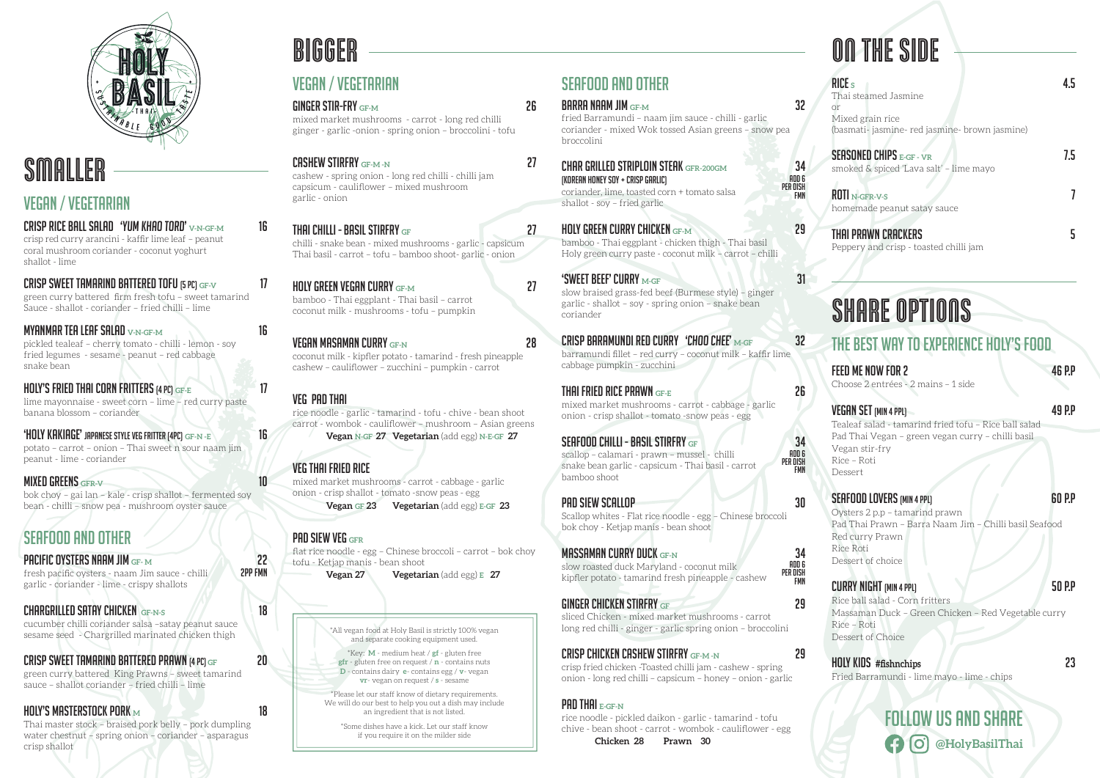

# **SMALLER**

### VEGAN / VEGETARIAN

CRISP RICE BALL SALAD 'YUM KHAO TORD' **V-N-GF-M** 16 crisp red curry arancini - kaffir lime leaf – peanut coral mushroom coriander - coconut yoghurt shallot - lime

**MYANMAR TEA LEAF SALAD V-N-GE-MANIFUM 16 16** pickled tealeaf – cherry tomato - chilli - lemon - soy fried legumes - sesame - peanut – red cabbage snake bean

CRISP SWEET TAMARIND BATTERED TOFU (5 PC) **GF-V** 17 green curry battered firm fresh tofu – sweet tamarind Sauce - shallot - coriander – fried chilli – lime

'HOLY KAKIAGE' JAPANESE STYLE VEG FRITTER (4PC) GF-N -E **16** potato – carrot – onion – Thai sweet n sour naam jim peanut - lime - coriander

**MIXED GREENS GFR-V 10 2008 10** bok choy – gai lan – kale - crisp shallot – fermented soy bean - chilli – snow pea - mushroom oyster sauce

**PACIFIC OYSTERS NAAM JIM GF- M** 22 fresh pacific oysters - naam Jim sauce - chilli garlic - coriander - lime - crispy shallots

HOLY'S FRIED THAI CORN FRITTERS (4 pc) **GF-E** 17 lime mayonnaise - sweet corn – lime – red curry paste banana blossom – coriander

### SEAFOOD AND OTHER

#### CHARGRILLED SATAY CHICKEN **GF-N-S** 18

cucumber chilli coriander salsa –satay peanut sauce sesame seed - Chargrilled marinated chicken thigh

### CRISP SWEET TAMARIND BATTERED PRAWN (4 PC) **GF** 20

green curry battered King Prawns – sweet tamarind sauce – shallot coriander – fried chilli – lime

#### HOLY'S MASTERSTOCK PORK **M** 18

Thai master stock – braised pork belly – pork dumpling water chestnut – spring onion – coriander – asparagus crisp shallot

# Follow us and share **@HolyBasilThai**

#### RICE **S** 4.5

Thai steamed Jasmine or Mixed grain rice (basmati- jasmine- red jasmine- brown jasmine)

#### SEASONED CHIPS **E-GF - VR** 7.5

smoked & spiced 'Lava salt' – lime mayo

#### ROTI **N-GFR-V-S** 7

homemade peanut satay sauce

#### Thai Prawn Crackers 5

Peppery and crisp - toasted chilli jam

# ON THE SIDE

## The best way to experience Holy's food

#### FEED ME NOW FOR 2 46 P.P.

Choose 2 entrées - 2 mains – 1 side

#### VEGAN SET (MIN 4 PPL) 49 P.P

Tealeaf salad - tamarind fried tofu – Rice ball salad Pad Thai Vegan – green vegan curry – chilli basil Vegan stir-fry Rice – Roti Dessert

#### SEAFOOD LOVERS (MIN 4 PPL) 60 P.P

Oysters 2 p.p – tamarind prawn Pad Thai Prawn – Barra Naam Jim – Chilli basil Seafood Red curry Prawn Rice Roti Dessert of choice

### CURRY NIGHT (MIN 4 PPL) 50 P.P

Rice ball salad - Corn fritters Massaman Duck – Green Chicken – Red Vegetable curry Rice – Roti Dessert of Choice

### Holy Kids **#fishnchips** 23

Fried Barramundi - lime mayo - lime - chips

# SHARE OPTIONS

# SEAFOOD AND OTHER

| <b>BARRA NAAM JIM <math>GF-M</math></b>                                                                                                                            | 32                             |
|--------------------------------------------------------------------------------------------------------------------------------------------------------------------|--------------------------------|
| fried Barramundi - naam jim sauce - chilli - garlic<br>coriander - mixed Wok tossed Asian greens - snow pea<br>broccolini                                          |                                |
| <b>CHAR GRILLED STRIPLOIN STEAK</b> GFR-200GM<br>(KOREAN HONEY SOY + CRISP GARLIC)<br>coriander, lime, toasted corn + tomato salsa<br>shallot - soy - fried garlic | 34<br>ADD 6<br>PFR NISH<br>FMN |
| <b>HOLY GREEN CURRY CHICKEN GF-M</b><br>bamboo - Thai eggplant - chicken thigh - Thai basil<br>Holy green curry paste - coconut milk - carrot - chilli             | 29                             |
| <b>'SWEET BEEF' CURRY M-GF</b><br>slow braised grass-fed beef (Burmese style) - ginger<br>garlic - shallot - soy - spring onion - snake bean<br>coriander          | 31                             |
| CRISP BARAMUNDI RED CURRY $\,$ 'CHOO CHEE' $_{\rm M-GF}$<br>barramundi fillet - red curry - coconut milk - kaffir lime<br>cabbage pumpkin - zucchini               | 32                             |
| THAI FRIED RICE PRAWN $_{\tiny{\text{GF-E}}}$<br>mixed market mushrooms - carrot - cabbage - garlic<br>onion - crisp shallot - tomato - snow peas - egg            | 26                             |
| <b>SEAFOOD CHILLI - BASIL STIRFRY GF</b><br>scallop - calamari - prawn - mussel - chilli<br>snake bean garlic - capsicum - Thai basil - carrot<br>bamboo shoot     | 34<br>ADD 6<br>PER DISH<br>FMN |
| <b>PAD SIEW SCALLOP</b><br>Scallop whites - Flat rice noodle - egg – Chinese broccoli<br>bok choy - Ketjap manis - bean shoot                                      | 30                             |
| <b>MASSAMAN CURRY DUCK GF-N</b><br>slow roasted duck Maryland - coconut milk<br>kipfler potato - tamarind fresh pineapple - cashew                                 | 34<br>ADD 6<br>PER DISH<br>FMN |
| GINGER CHICKEN STIRFRY $_{\tiny{\text{GE}}}$<br>sliced Chicken - mixed market mushrooms - carrot<br>long red chilli - ginger - garlic spring onion - broccolini    | 29                             |

CRISP CHICKEN CASHEW STIRFRY **GF-M -N** 29

crisp fried chicken -Toasted chilli jam - cashew - spring onion - long red chilli – capsicum – honey – onion - garlic

### PAD THAI **E-GF-N**

rice noodle - pickled daikon - garlic - tamarind - tofu chive - bean shoot - carrot - wombok - cauliflower - egg

 **Chicken 28 Prawn 30**

### VEGAN / VEGETARIAN

GINGER STIR-FRY **GF-M** 26 mixed market mushrooms - carrot - long red chilli ginger - garlic -onion - spring onion – broccolini - tofu CASHEW STIRFRY **GF-M -N** 27 cashew - spring onion - long red chilli - chilli jam capsicum - cauliflower – mixed mushroom garlic - onion THAI CHILLI - BASIL STIRFRY **GF** 27 chilli - snake bean - mixed mushrooms - garlic - capsicum Thai basil - carrot – tofu – bamboo shoot- garlic - onion HOLY GREEN VEGAN CURRY **GF-M** 27 bamboo - Thai eggplant - Thai basil – carrot coconut milk - mushrooms - tofu – pumpkin VEGAN MASAMAN CURRY **GF-N** 28 coconut milk - kipfler potato - tamarind - fresh pineapple cashew – cauliflower – zucchini – pumpkin - carrot VEG PAD THAI rice noodle - garlic - tamarind - tofu - chive - bean shoot carrot - wombok - cauliflower – mushroom – Asian greens  **Vegan N-GF 27 Vegetarian** (add egg) **N-E-GF 27**  VEG THAI FRIED RICE mixed market mushrooms - carrot - cabbage - garlic onion - crisp shallot - tomato -snow peas - egg  **Vegan GF 23 Vegetarian** (add egg) **E-GF 23** 

#### PAD SIEW VEG **GFR**

flat rice noodle - egg – Chinese broccoli – carrot – bok choy tofu - Ketjap manis - bean shoot

 **Vegan 27 Vegetarian** (add egg) **E 27**

# BIGGER

\*All vegan food at Holy Basil is strictly 100% vegan and separate cooking equipment used.

\*Key: **M** - medium heat / **gf** - gluten free **gfr** - gluten free on request / **n** - contains nuts **D** - contains dairy **e**- contains egg / **v**- vegan **vr**- vegan on request / **s** - sesame

\*Please let our staff know of dietary requirements. We will do our best to help you out a dish may include an ingredient that is not listed.

> \*Some dishes have a kick. Let our staff know if you require it on the milder side